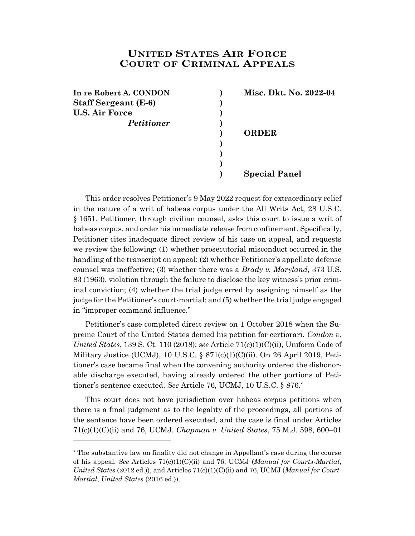## **UNITED STATES AIR FORCE COURT OF CRIMINAL APPEALS**

**) ) )**

**In re Robert A. CONDON ) Misc. Dkt. No. 2022-04 Staff Sergeant (E-6) ) U.S. Air Force )** *Petitioner* **)**

l

**) ORDER**

**) Special Panel**

This order resolves Petitioner's 9 May 2022 request for extraordinary relief in the nature of a writ of habeas corpus under the All Writs Act, 28 U.S.C. § 1651. Petitioner, through civilian counsel, asks this court to issue a writ of habeas corpus, and order his immediate release from confinement. Specifically, Petitioner cites inadequate direct review of his case on appeal, and requests we review the following: (1) whether prosecutorial misconduct occurred in the handling of the transcript on appeal; (2) whether Petitioner's appellate defense counsel was ineffective; (3) whether there was a *Brady v. Maryland,* 373 U.S. 83 (1963), violation through the failure to disclose the key witness's prior criminal conviction; (4) whether the trial judge erred by assigning himself as the judge for the Petitioner's court-martial; and (5) whether the trial judge engaged in "improper command influence."

Petitioner's case completed direct review on 1 October 2018 when the Supreme Court of the United States denied his petition for certiorari. *Condon v. United States*, 139 S. Ct. 110 (2018); *see* Article 71(c)(1)(C)(ii), Uniform Code of Military Justice (UCMJ), 10 U.S.C. §  $871(c)(1)(C)(ii)$ . On 26 April 2019, Petitioner's case became final when the convening authority ordered the dishonorable discharge executed, having already ordered the other portions of Petitioner's sentence executed. *See* Article 76, UCMJ, 10 U.S.C. § 876. \*

This court does not have jurisdiction over habeas corpus petitions when there is a final judgment as to the legality of the proceedings, all portions of the sentence have been ordered executed, and the case is final under Articles 71(c)(1)(C)(ii) and 76, UCMJ. *Chapman v. United States*, 75 M.J. 598, 600–01

<sup>\*</sup> The substantive law on finality did not change in Appellant's case during the course of his appeal. *See* Articles 71(c)(1)(C)(ii) and 76, UCMJ (*Manual for Courts-Martial*, *United States* (2012 ed.)), and Articles 71(c)(1)(C)(ii) and 76, UCMJ (*Manual for Court-Martial*, *United States* (2016 ed.)).